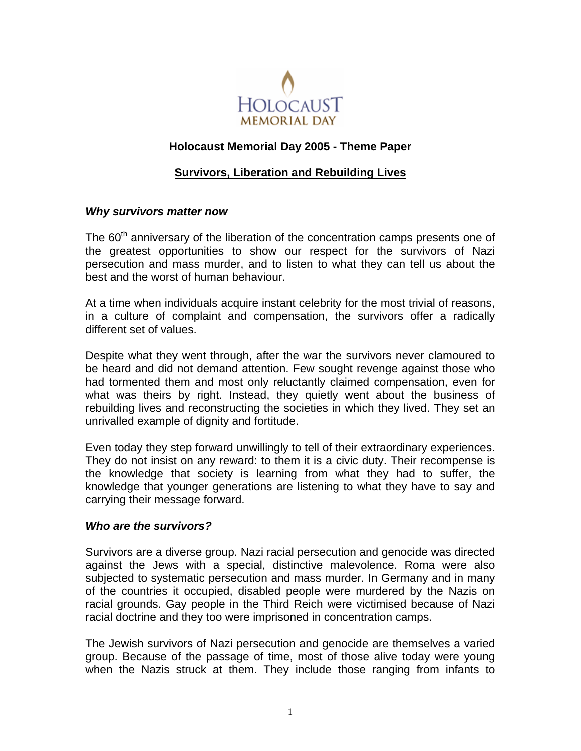

# **Holocaust Memorial Day 2005 - Theme Paper**

## **Survivors, Liberation and Rebuilding Lives**

#### *Why survivors matter now*

The  $60<sup>th</sup>$  anniversary of the liberation of the concentration camps presents one of the greatest opportunities to show our respect for the survivors of Nazi persecution and mass murder, and to listen to what they can tell us about the best and the worst of human behaviour.

At a time when individuals acquire instant celebrity for the most trivial of reasons, in a culture of complaint and compensation, the survivors offer a radically different set of values.

Despite what they went through, after the war the survivors never clamoured to be heard and did not demand attention. Few sought revenge against those who had tormented them and most only reluctantly claimed compensation, even for what was theirs by right. Instead, they quietly went about the business of rebuilding lives and reconstructing the societies in which they lived. They set an unrivalled example of dignity and fortitude.

Even today they step forward unwillingly to tell of their extraordinary experiences. They do not insist on any reward: to them it is a civic duty. Their recompense is the knowledge that society is learning from what they had to suffer, the knowledge that younger generations are listening to what they have to say and carrying their message forward.

## *Who are the survivors?*

Survivors are a diverse group. Nazi racial persecution and genocide was directed against the Jews with a special, distinctive malevolence. Roma were also subjected to systematic persecution and mass murder. In Germany and in many of the countries it occupied, disabled people were murdered by the Nazis on racial grounds. Gay people in the Third Reich were victimised because of Nazi racial doctrine and they too were imprisoned in concentration camps.

The Jewish survivors of Nazi persecution and genocide are themselves a varied group. Because of the passage of time, most of those alive today were young when the Nazis struck at them. They include those ranging from infants to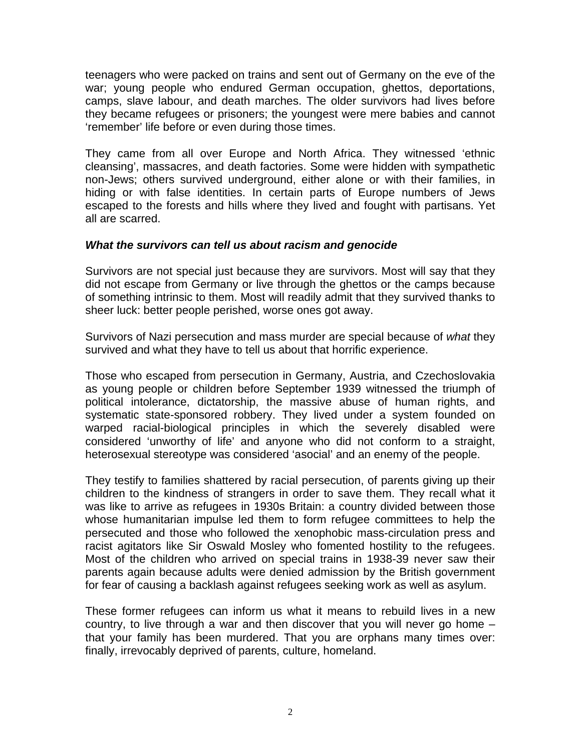teenagers who were packed on trains and sent out of Germany on the eve of the war; young people who endured German occupation, ghettos, deportations, camps, slave labour, and death marches. The older survivors had lives before they became refugees or prisoners; the youngest were mere babies and cannot 'remember' life before or even during those times.

They came from all over Europe and North Africa. They witnessed 'ethnic cleansing', massacres, and death factories. Some were hidden with sympathetic non-Jews; others survived underground, either alone or with their families, in hiding or with false identities. In certain parts of Europe numbers of Jews escaped to the forests and hills where they lived and fought with partisans. Yet all are scarred.

#### *What the survivors can tell us about racism and genocide*

Survivors are not special just because they are survivors. Most will say that they did not escape from Germany or live through the ghettos or the camps because of something intrinsic to them. Most will readily admit that they survived thanks to sheer luck: better people perished, worse ones got away.

Survivors of Nazi persecution and mass murder are special because of *what* they survived and what they have to tell us about that horrific experience.

Those who escaped from persecution in Germany, Austria, and Czechoslovakia as young people or children before September 1939 witnessed the triumph of political intolerance, dictatorship, the massive abuse of human rights, and systematic state-sponsored robbery. They lived under a system founded on warped racial-biological principles in which the severely disabled were considered 'unworthy of life' and anyone who did not conform to a straight, heterosexual stereotype was considered 'asocial' and an enemy of the people.

They testify to families shattered by racial persecution, of parents giving up their children to the kindness of strangers in order to save them. They recall what it was like to arrive as refugees in 1930s Britain: a country divided between those whose humanitarian impulse led them to form refugee committees to help the persecuted and those who followed the xenophobic mass-circulation press and racist agitators like Sir Oswald Mosley who fomented hostility to the refugees. Most of the children who arrived on special trains in 1938-39 never saw their parents again because adults were denied admission by the British government for fear of causing a backlash against refugees seeking work as well as asylum.

These former refugees can inform us what it means to rebuild lives in a new country, to live through a war and then discover that you will never go home – that your family has been murdered. That you are orphans many times over: finally, irrevocably deprived of parents, culture, homeland.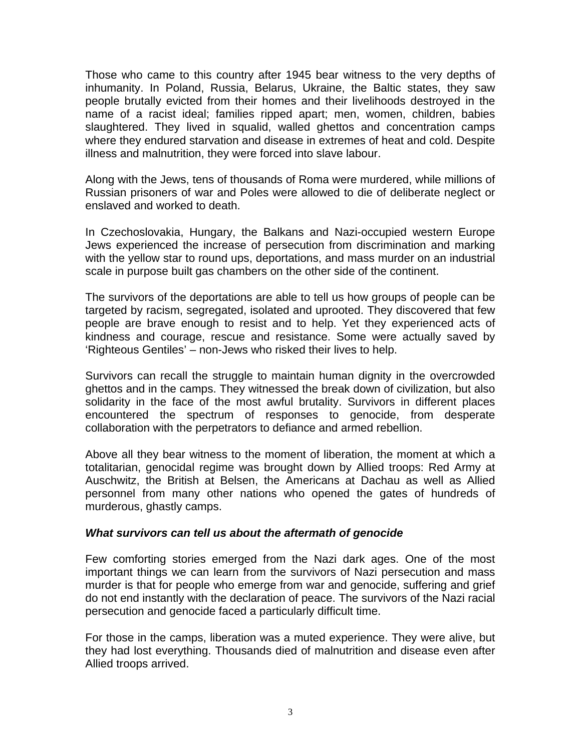Those who came to this country after 1945 bear witness to the very depths of inhumanity. In Poland, Russia, Belarus, Ukraine, the Baltic states, they saw people brutally evicted from their homes and their livelihoods destroyed in the name of a racist ideal; families ripped apart; men, women, children, babies slaughtered. They lived in squalid, walled ghettos and concentration camps where they endured starvation and disease in extremes of heat and cold. Despite illness and malnutrition, they were forced into slave labour.

Along with the Jews, tens of thousands of Roma were murdered, while millions of Russian prisoners of war and Poles were allowed to die of deliberate neglect or enslaved and worked to death.

In Czechoslovakia, Hungary, the Balkans and Nazi-occupied western Europe Jews experienced the increase of persecution from discrimination and marking with the yellow star to round ups, deportations, and mass murder on an industrial scale in purpose built gas chambers on the other side of the continent.

The survivors of the deportations are able to tell us how groups of people can be targeted by racism, segregated, isolated and uprooted. They discovered that few people are brave enough to resist and to help. Yet they experienced acts of kindness and courage, rescue and resistance. Some were actually saved by 'Righteous Gentiles' – non-Jews who risked their lives to help.

Survivors can recall the struggle to maintain human dignity in the overcrowded ghettos and in the camps. They witnessed the break down of civilization, but also solidarity in the face of the most awful brutality. Survivors in different places encountered the spectrum of responses to genocide, from desperate collaboration with the perpetrators to defiance and armed rebellion.

Above all they bear witness to the moment of liberation, the moment at which a totalitarian, genocidal regime was brought down by Allied troops: Red Army at Auschwitz, the British at Belsen, the Americans at Dachau as well as Allied personnel from many other nations who opened the gates of hundreds of murderous, ghastly camps.

#### *What survivors can tell us about the aftermath of genocide*

Few comforting stories emerged from the Nazi dark ages. One of the most important things we can learn from the survivors of Nazi persecution and mass murder is that for people who emerge from war and genocide, suffering and grief do not end instantly with the declaration of peace. The survivors of the Nazi racial persecution and genocide faced a particularly difficult time.

For those in the camps, liberation was a muted experience. They were alive, but they had lost everything. Thousands died of malnutrition and disease even after Allied troops arrived.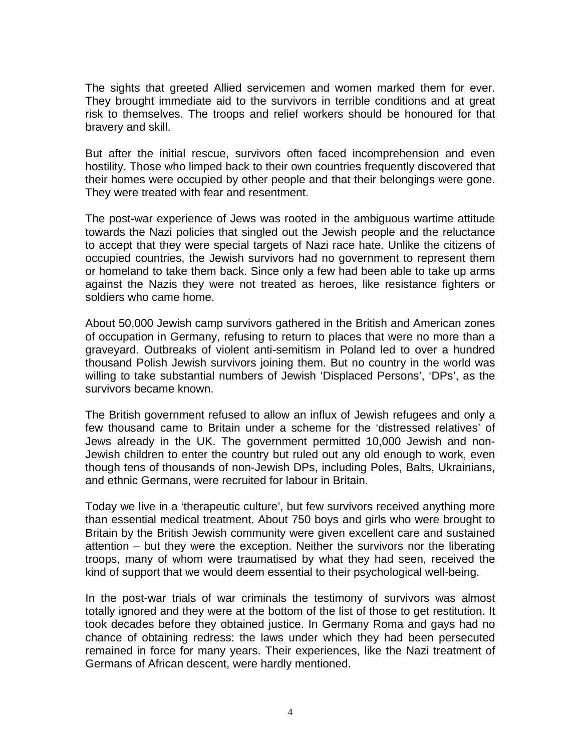The sights that greeted Allied servicemen and women marked them for ever. They brought immediate aid to the survivors in terrible conditions and at great risk to themselves. The troops and relief workers should be honoured for that bravery and skill.

But after the initial rescue, survivors often faced incomprehension and even hostility. Those who limped back to their own countries frequently discovered that their homes were occupied by other people and that their belongings were gone. They were treated with fear and resentment.

The post-war experience of Jews was rooted in the ambiguous wartime attitude towards the Nazi policies that singled out the Jewish people and the reluctance to accept that they were special targets of Nazi race hate. Unlike the citizens of occupied countries, the Jewish survivors had no government to represent them or homeland to take them back. Since only a few had been able to take up arms against the Nazis they were not treated as heroes, like resistance fighters or soldiers who came home.

About 50,000 Jewish camp survivors gathered in the British and American zones of occupation in Germany, refusing to return to places that were no more than a graveyard. Outbreaks of violent anti-semitism in Poland led to over a hundred thousand Polish Jewish survivors joining them. But no country in the world was willing to take substantial numbers of Jewish 'Displaced Persons', 'DPs', as the survivors became known.

The British government refused to allow an influx of Jewish refugees and only a few thousand came to Britain under a scheme for the 'distressed relatives' of Jews already in the UK. The government permitted 10,000 Jewish and non-Jewish children to enter the country but ruled out any old enough to work, even though tens of thousands of non-Jewish DPs, including Poles, Balts, Ukrainians, and ethnic Germans, were recruited for labour in Britain.

Today we live in a 'therapeutic culture', but few survivors received anything more than essential medical treatment. About 750 boys and girls who were brought to Britain by the British Jewish community were given excellent care and sustained attention – but they were the exception. Neither the survivors nor the liberating troops, many of whom were traumatised by what they had seen, received the kind of support that we would deem essential to their psychological well-being.

In the post-war trials of war criminals the testimony of survivors was almost totally ignored and they were at the bottom of the list of those to get restitution. It took decades before they obtained justice. In Germany Roma and gays had no chance of obtaining redress: the laws under which they had been persecuted remained in force for many years. Their experiences, like the Nazi treatment of Germans of African descent, were hardly mentioned.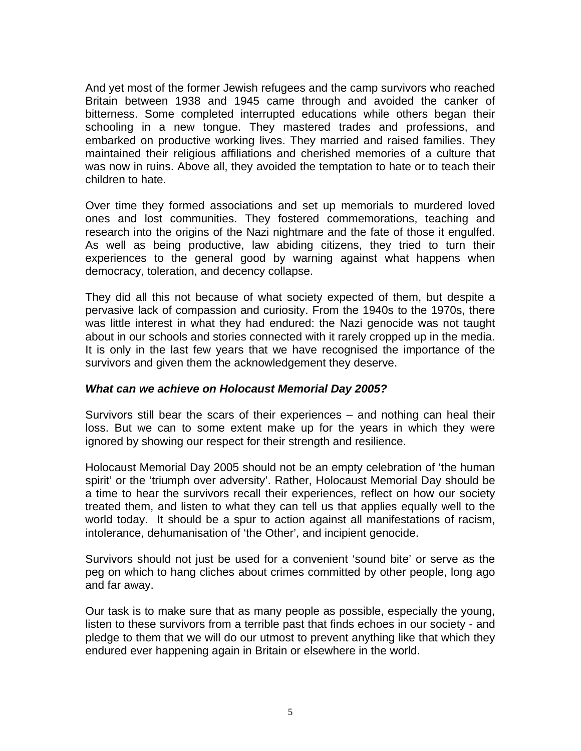And yet most of the former Jewish refugees and the camp survivors who reached Britain between 1938 and 1945 came through and avoided the canker of bitterness. Some completed interrupted educations while others began their schooling in a new tongue. They mastered trades and professions, and embarked on productive working lives. They married and raised families. They maintained their religious affiliations and cherished memories of a culture that was now in ruins. Above all, they avoided the temptation to hate or to teach their children to hate.

Over time they formed associations and set up memorials to murdered loved ones and lost communities. They fostered commemorations, teaching and research into the origins of the Nazi nightmare and the fate of those it engulfed. As well as being productive, law abiding citizens, they tried to turn their experiences to the general good by warning against what happens when democracy, toleration, and decency collapse.

They did all this not because of what society expected of them, but despite a pervasive lack of compassion and curiosity. From the 1940s to the 1970s, there was little interest in what they had endured: the Nazi genocide was not taught about in our schools and stories connected with it rarely cropped up in the media. It is only in the last few years that we have recognised the importance of the survivors and given them the acknowledgement they deserve.

## *What can we achieve on Holocaust Memorial Day 2005?*

Survivors still bear the scars of their experiences – and nothing can heal their loss. But we can to some extent make up for the years in which they were ignored by showing our respect for their strength and resilience.

Holocaust Memorial Day 2005 should not be an empty celebration of 'the human spirit' or the 'triumph over adversity'. Rather, Holocaust Memorial Day should be a time to hear the survivors recall their experiences, reflect on how our society treated them, and listen to what they can tell us that applies equally well to the world today. It should be a spur to action against all manifestations of racism, intolerance, dehumanisation of 'the Other', and incipient genocide.

Survivors should not just be used for a convenient 'sound bite' or serve as the peg on which to hang cliches about crimes committed by other people, long ago and far away.

Our task is to make sure that as many people as possible, especially the young, listen to these survivors from a terrible past that finds echoes in our society - and pledge to them that we will do our utmost to prevent anything like that which they endured ever happening again in Britain or elsewhere in the world.